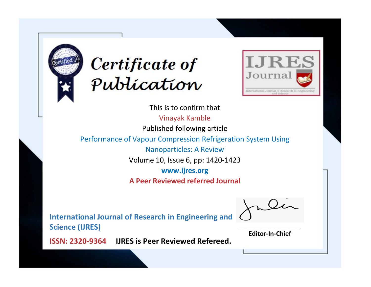



This is to confirm that Vinayak Kamble Published following article Performance of Vapour Compression Refrigeration System Using Nanoparticles: A Review Volume 10, Issue 6, pp: 1420-1423 **www.ijres.org A Peer Reviewed referred Journal**

**International Journal of Research in Engineering and Science (IJRES)**

\_\_\_\_\_\_\_\_\_\_\_\_\_\_\_\_\_\_\_\_\_\_\_\_ **Editor-In-Chief**

**Journal.**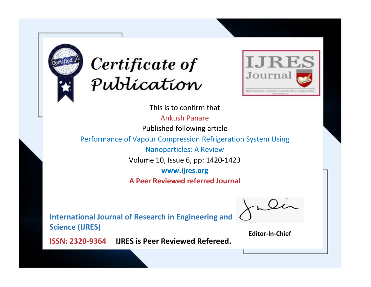



This is to confirm that

Ankush Panare

Published following article

Performance of Vapour Compression Refrigeration System Using

Nanoparticles: A Review

Volume 10, Issue 6, pp: 1420-1423

**www.ijres.org**

**A Peer Reviewed referred Journal**

**International Journal of Research in Engineering and Science (IJRES)**

\_\_\_\_\_\_\_\_\_\_\_\_\_\_\_\_\_\_\_\_\_\_\_\_ **Editor-In-Chief**

**Journal.**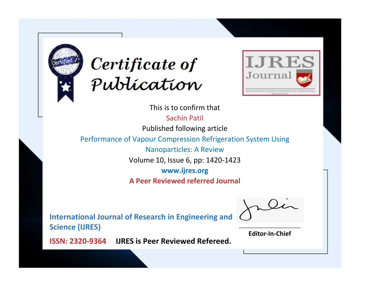



This is to confirm that Sachin Patil

Published following article

Performance of Vapour Compression Refrigeration System Using

Nanoparticles: A Review

Volume 10, Issue 6, pp: 1420-1423

**www.ijres.org**

**A Peer Reviewed referred Journal**

**International Journal of Research in Engineering and Science (IJRES)**

\_\_\_\_\_\_\_\_\_\_\_\_\_\_\_\_\_\_\_\_\_\_\_\_ **Editor-In-Chief**

**Journal.**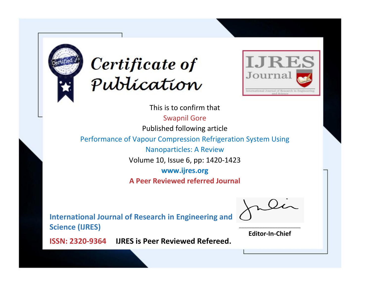



This is to confirm that

Swapnil Gore

Published following article

Performance of Vapour Compression Refrigeration System Using

Nanoparticles: A Review

Volume 10, Issue 6, pp: 1420-1423

**www.ijres.org**

**A Peer Reviewed referred Journal**

**International Journal of Research in Engineering and Science (IJRES)**

\_\_\_\_\_\_\_\_\_\_\_\_\_\_\_\_\_\_\_\_\_\_\_\_ **Editor-In-Chief**

**Journal.**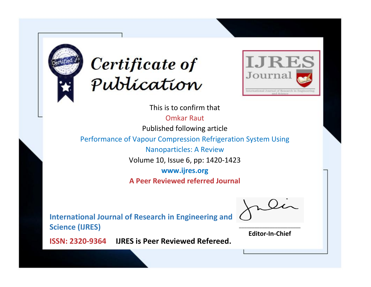



This is to confirm that

Omkar Raut

Published following article

Performance of Vapour Compression Refrigeration System Using

Nanoparticles: A Review

Volume 10, Issue 6, pp: 1420-1423

**www.ijres.org**

**A Peer Reviewed referred Journal**

**International Journal of Research in Engineering and Science (IJRES)**

\_\_\_\_\_\_\_\_\_\_\_\_\_\_\_\_\_\_\_\_\_\_\_\_ **Editor-In-Chief**

**Journal.**